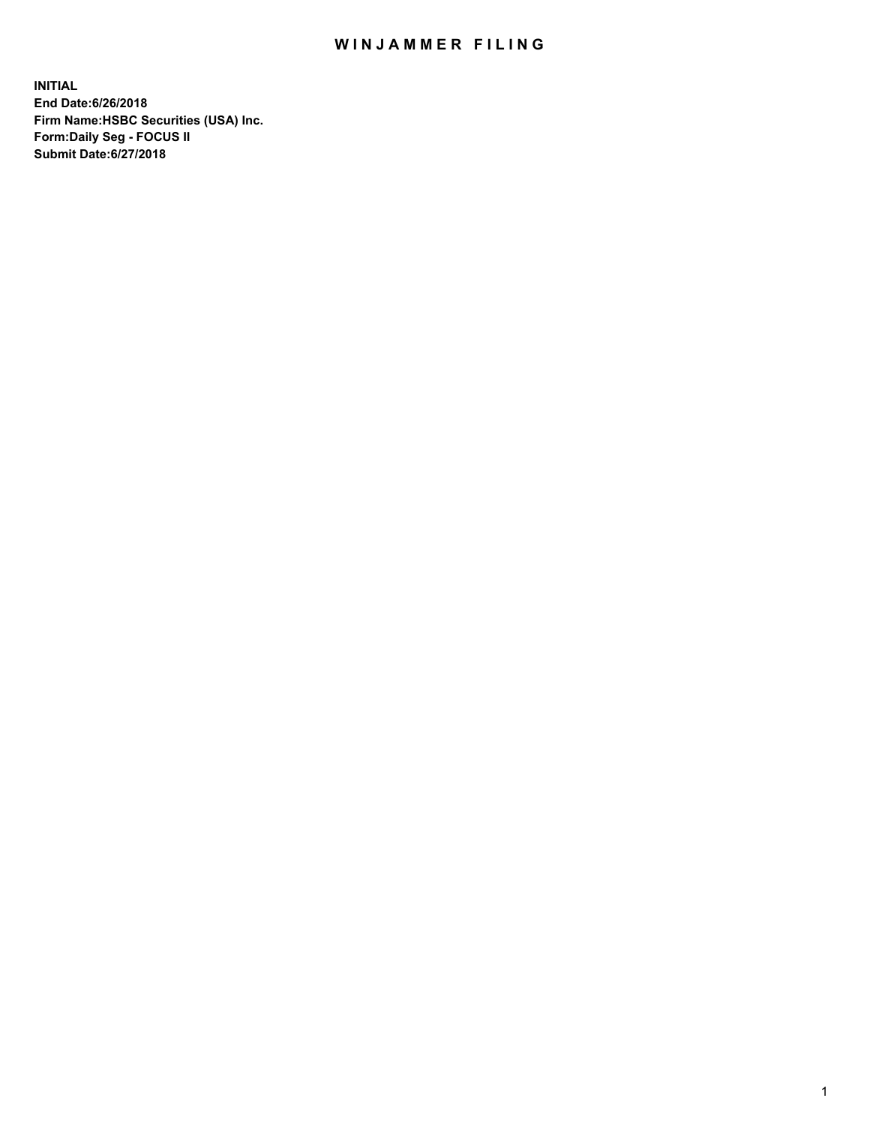## WIN JAMMER FILING

**INITIAL End Date:6/26/2018 Firm Name:HSBC Securities (USA) Inc. Form:Daily Seg - FOCUS II Submit Date:6/27/2018**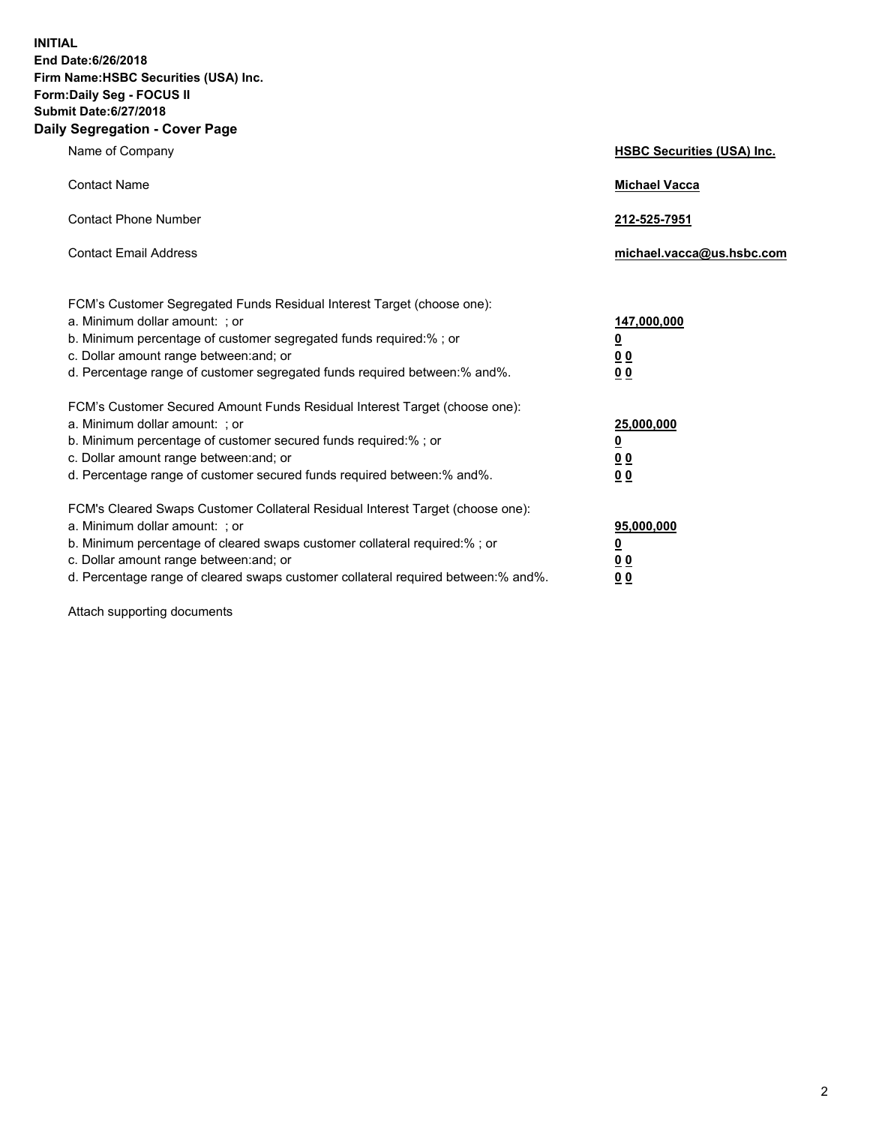**INITIAL End Date:6/26/2018 Firm Name:HSBC Securities (USA) Inc. Form:Daily Seg - FOCUS II Submit Date:6/27/2018 Daily Segregation - Cover Page**

| Name of Company                                                                                                                                                                                                                                                                                                                | <b>HSBC Securities (USA) Inc.</b>                                          |
|--------------------------------------------------------------------------------------------------------------------------------------------------------------------------------------------------------------------------------------------------------------------------------------------------------------------------------|----------------------------------------------------------------------------|
| <b>Contact Name</b>                                                                                                                                                                                                                                                                                                            | <b>Michael Vacca</b>                                                       |
| <b>Contact Phone Number</b>                                                                                                                                                                                                                                                                                                    | 212-525-7951                                                               |
| <b>Contact Email Address</b>                                                                                                                                                                                                                                                                                                   | michael.vacca@us.hsbc.com                                                  |
| FCM's Customer Segregated Funds Residual Interest Target (choose one):<br>a. Minimum dollar amount: : or<br>b. Minimum percentage of customer segregated funds required:% ; or<br>c. Dollar amount range between: and; or<br>d. Percentage range of customer segregated funds required between:% and%.                         | 147,000,000<br>$\overline{\mathbf{0}}$<br>0 <sub>0</sub><br>0 <sub>0</sub> |
| FCM's Customer Secured Amount Funds Residual Interest Target (choose one):<br>a. Minimum dollar amount: ; or<br>b. Minimum percentage of customer secured funds required:%; or<br>c. Dollar amount range between: and; or<br>d. Percentage range of customer secured funds required between:% and%.                            | 25,000,000<br><u>0</u><br>0 <sub>0</sub><br>00                             |
| FCM's Cleared Swaps Customer Collateral Residual Interest Target (choose one):<br>a. Minimum dollar amount: ; or<br>b. Minimum percentage of cleared swaps customer collateral required:% ; or<br>c. Dollar amount range between: and; or<br>d. Percentage range of cleared swaps customer collateral required between:% and%. | 95,000,000<br><u>0</u><br>00<br>0 <sub>0</sub>                             |

Attach supporting documents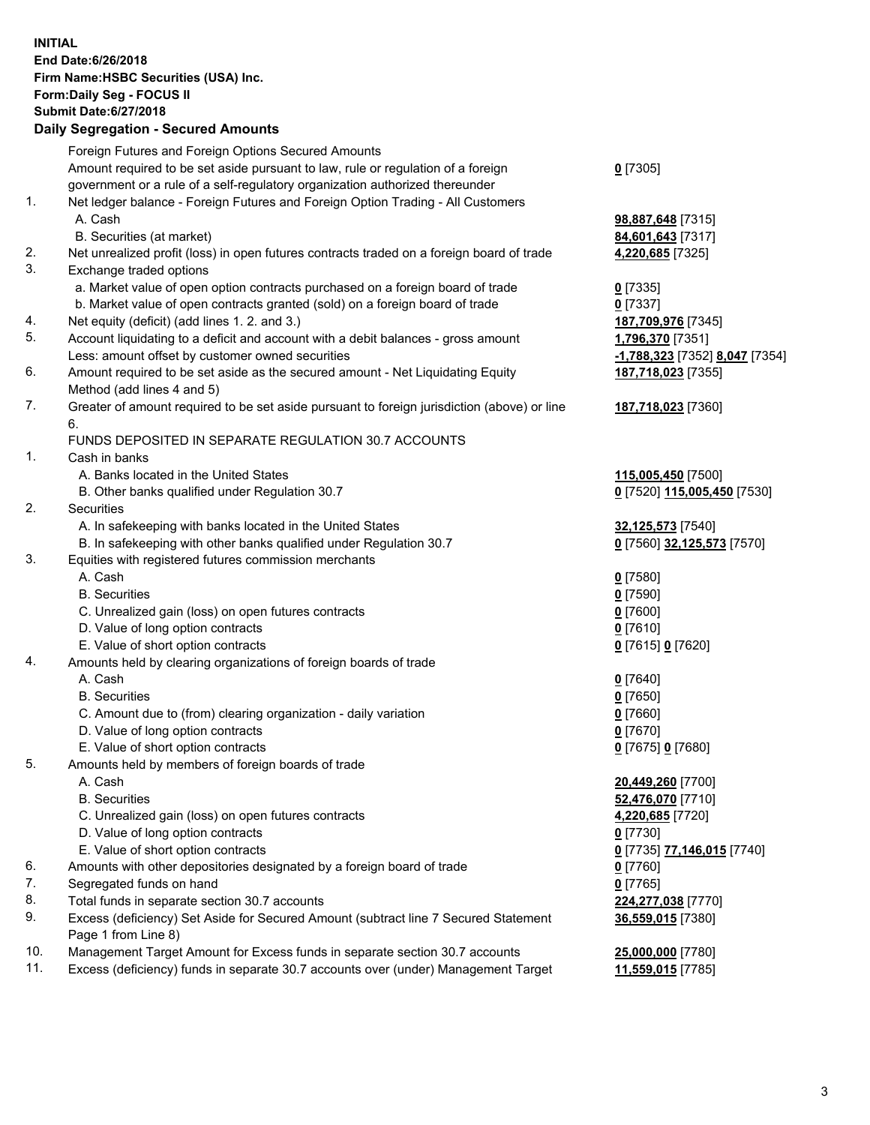**INITIAL End Date:6/26/2018 Firm Name:HSBC Securities (USA) Inc. Form:Daily Seg - FOCUS II Submit Date:6/27/2018 Daily Segregation - Secured Amounts** Foreign Futures and Foreign Options Secured Amounts Amount required to be set aside pursuant to law, rule or regulation of a foreign government or a rule of a self-regulatory organization authorized thereunder **0** [7305] 1. Net ledger balance - Foreign Futures and Foreign Option Trading - All Customers A. Cash **98,887,648** [7315] B. Securities (at market) **84,601,643** [7317] 2. Net unrealized profit (loss) in open futures contracts traded on a foreign board of trade **4,220,685** [7325] 3. Exchange traded options a. Market value of open option contracts purchased on a foreign board of trade **0** [7335] b. Market value of open contracts granted (sold) on a foreign board of trade **0** [7337] 4. Net equity (deficit) (add lines 1. 2. and 3.) **187,709,976** [7345] 5. Account liquidating to a deficit and account with a debit balances - gross amount **1,796,370** [7351] Less: amount offset by customer owned securities **-1,788,323** [7352] **8,047** [7354] 6. Amount required to be set aside as the secured amount - Net Liquidating Equity Method (add lines 4 and 5) **187,718,023** [7355] 7. Greater of amount required to be set aside pursuant to foreign jurisdiction (above) or line 6. **187,718,023** [7360] FUNDS DEPOSITED IN SEPARATE REGULATION 30.7 ACCOUNTS 1. Cash in banks A. Banks located in the United States **115,005,450** [7500] B. Other banks qualified under Regulation 30.7 **0** [7520] **115,005,450** [7530] 2. Securities A. In safekeeping with banks located in the United States **32,125,573** [7540] B. In safekeeping with other banks qualified under Regulation 30.7 **0** [7560] **32,125,573** [7570] 3. Equities with registered futures commission merchants A. Cash **0** [7580] B. Securities **0** [7590] C. Unrealized gain (loss) on open futures contracts **0** [7600] D. Value of long option contracts **0** [7610] E. Value of short option contracts **0** [7615] **0** [7620] 4. Amounts held by clearing organizations of foreign boards of trade A. Cash **0** [7640] B. Securities **0** [7650] C. Amount due to (from) clearing organization - daily variation **0** [7660] D. Value of long option contracts **0** [7670] E. Value of short option contracts **0** [7675] **0** [7680] 5. Amounts held by members of foreign boards of trade A. Cash **20,449,260** [7700] B. Securities **52,476,070** [7710] C. Unrealized gain (loss) on open futures contracts **4,220,685** [7720] D. Value of long option contracts **0** [7730] E. Value of short option contracts **0** [7735] **77,146,015** [7740] 6. Amounts with other depositories designated by a foreign board of trade **0** [7760] 7. Segregated funds on hand **0** [7765] 8. Total funds in separate section 30.7 accounts **224,277,038** [7770]

- 9. Excess (deficiency) Set Aside for Secured Amount (subtract line 7 Secured Statement Page 1 from Line 8)
- 10. Management Target Amount for Excess funds in separate section 30.7 accounts **25,000,000** [7780]

11. Excess (deficiency) funds in separate 30.7 accounts over (under) Management Target **11,559,015** [7785]

**36,559,015** [7380]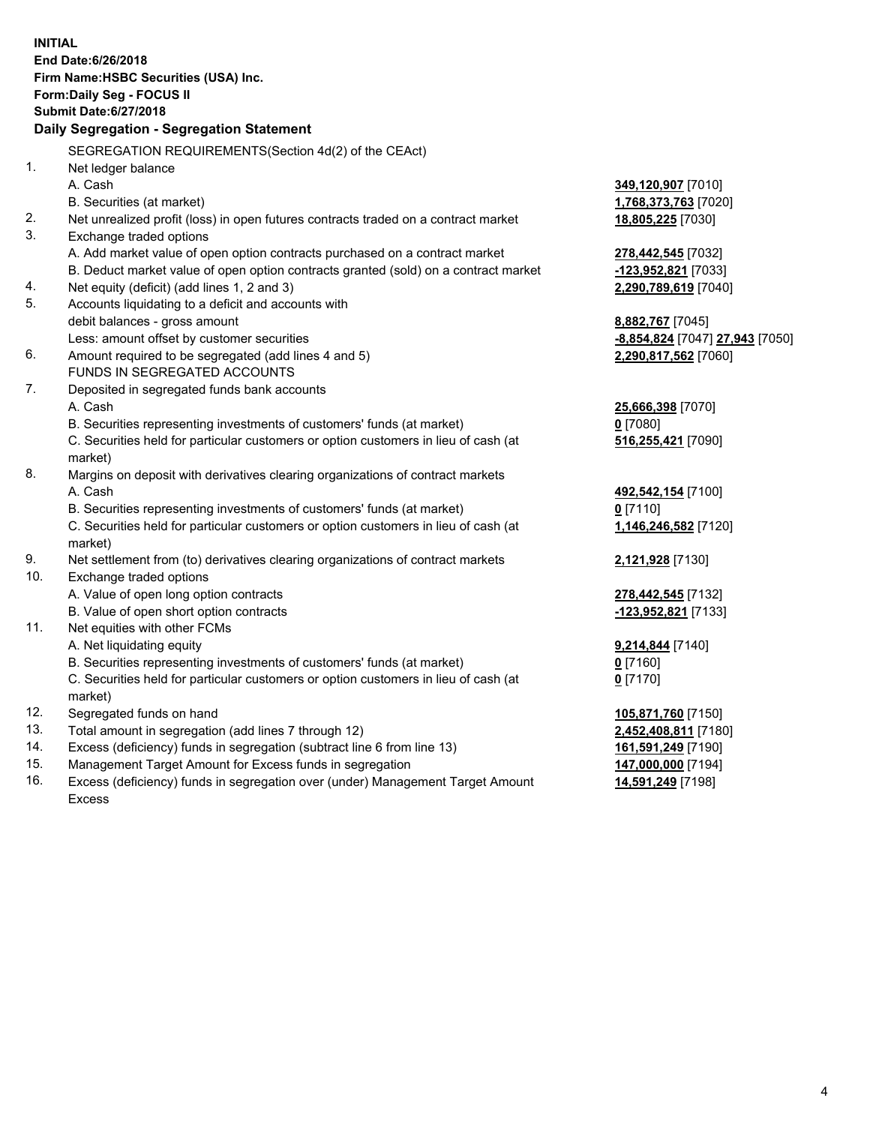**INITIAL End Date:6/26/2018 Firm Name:HSBC Securities (USA) Inc. Form:Daily Seg - FOCUS II Submit Date:6/27/2018 Daily Segregation - Segregation Statement** SEGREGATION REQUIREMENTS(Section 4d(2) of the CEAct) 1. Net ledger balance A. Cash **349,120,907** [7010] B. Securities (at market) **1,768,373,763** [7020] 2. Net unrealized profit (loss) in open futures contracts traded on a contract market **18,805,225** [7030] 3. Exchange traded options A. Add market value of open option contracts purchased on a contract market **278,442,545** [7032] B. Deduct market value of open option contracts granted (sold) on a contract market **-123,952,821** [7033] 4. Net equity (deficit) (add lines 1, 2 and 3) **2,290,789,619** [7040] 5. Accounts liquidating to a deficit and accounts with debit balances - gross amount **8,882,767** [7045] Less: amount offset by customer securities **and the securities -8,854,824** [7047] **27,943** [7050] 6. Amount required to be segregated (add lines 4 and 5) **2,290,817,562** [7060] FUNDS IN SEGREGATED ACCOUNTS 7. Deposited in segregated funds bank accounts A. Cash **25,666,398** [7070] B. Securities representing investments of customers' funds (at market) **0** [7080] C. Securities held for particular customers or option customers in lieu of cash (at market) **516,255,421** [7090] 8. Margins on deposit with derivatives clearing organizations of contract markets A. Cash **492,542,154** [7100] B. Securities representing investments of customers' funds (at market) **0** [7110] C. Securities held for particular customers or option customers in lieu of cash (at market) **1,146,246,582** [7120] 9. Net settlement from (to) derivatives clearing organizations of contract markets **2,121,928** [7130] 10. Exchange traded options A. Value of open long option contracts **278,442,545** [7132] B. Value of open short option contracts **-123,952,821** [7133] 11. Net equities with other FCMs A. Net liquidating equity **9,214,844** [7140] B. Securities representing investments of customers' funds (at market) **0** [7160] C. Securities held for particular customers or option customers in lieu of cash (at market) **0** [7170] 12. Segregated funds on hand **105,871,760** [7150] 13. Total amount in segregation (add lines 7 through 12) **2,452,408,811** [7180] 14. Excess (deficiency) funds in segregation (subtract line 6 from line 13) **161,591,249** [7190] 15. Management Target Amount for Excess funds in segregation **147,000,000** [7194]

16. Excess (deficiency) funds in segregation over (under) Management Target Amount Excess

**14,591,249** [7198]